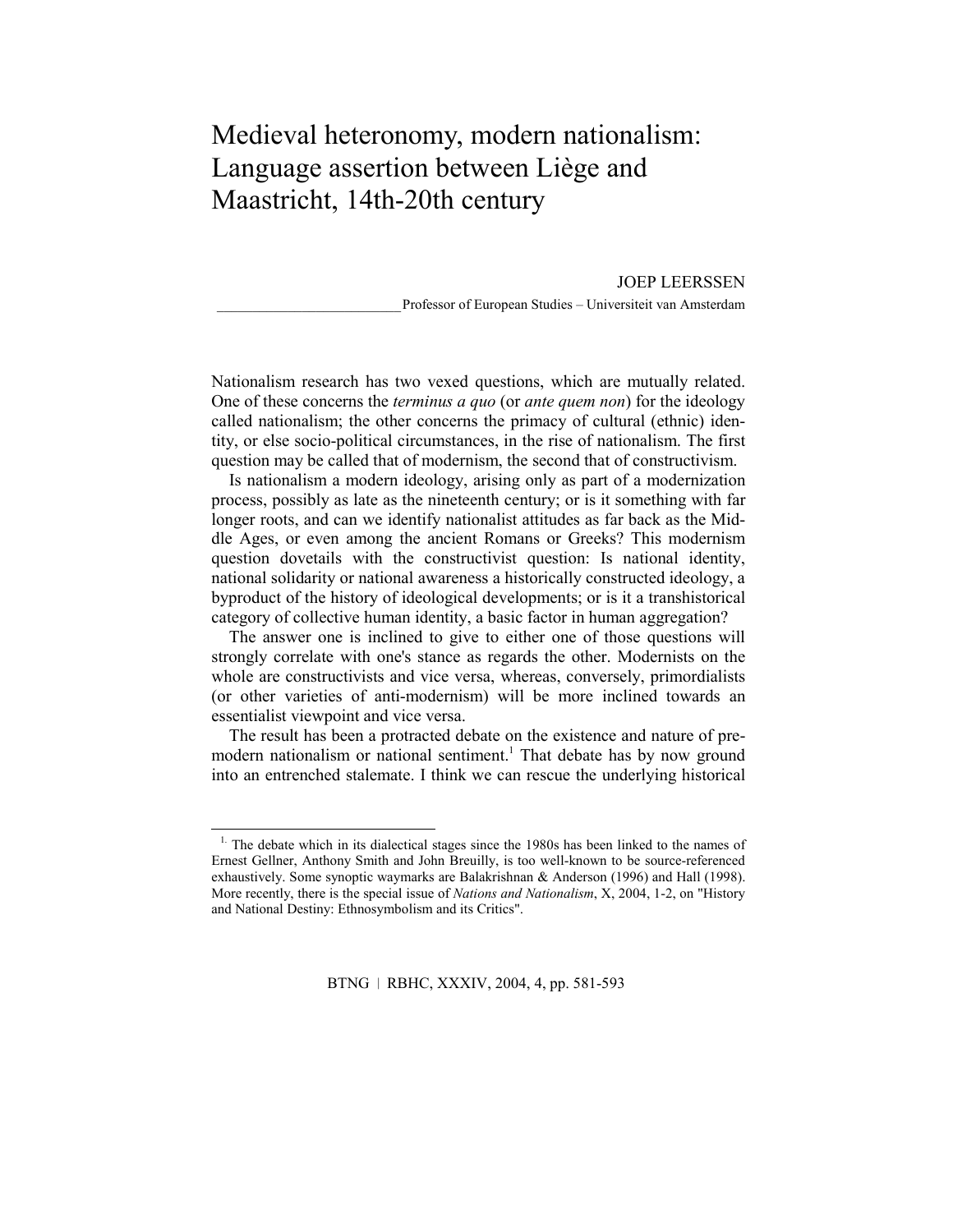# Medieval heteronomy, modern nationalism: Language assertion between Liège and Maastricht, 14th-20th century

JOEP LEERSSEN \_\_\_\_\_\_\_\_\_\_\_\_\_\_\_\_\_\_\_\_\_\_\_\_\_\_Professor of European Studies – Universiteit van Amsterdam

Nationalism research has two vexed questions, which are mutually related. One of these concerns the *terminus a quo* (or *ante quem non*) for the ideology called nationalism; the other concerns the primacy of cultural (ethnic) identity, or else socio-political circumstances, in the rise of nationalism. The first question may be called that of modernism, the second that of constructivism.

Is nationalism a modern ideology, arising only as part of a modernization process, possibly as late as the nineteenth century; or is it something with far longer roots, and can we identify nationalist attitudes as far back as the Middle Ages, or even among the ancient Romans or Greeks? This modernism question dovetails with the constructivist question: Is national identity, national solidarity or national awareness a historically constructed ideology, a byproduct of the history of ideological developments; or is it a transhistorical category of collective human identity, a basic factor in human aggregation?

The answer one is inclined to give to either one of those questions will strongly correlate with one's stance as regards the other. Modernists on the whole are constructivists and vice versa, whereas, conversely, primordialists (or other varieties of anti-modernism) will be more inclined towards an essentialist viewpoint and vice versa.

The result has been a protracted debate on the existence and nature of premodern nationalism or national sentiment.<sup>1</sup> That debate has by now ground into an entrenched stalemate. I think we can rescue the underlying historical

<sup>&</sup>lt;sup>1.</sup> The debate which in its dialectical stages since the 1980s has been linked to the names of Ernest Gellner, Anthony Smith and John Breuilly, is too well-known to be source-referenced exhaustively. Some synoptic waymarks are Balakrishnan & Anderson (1996) and Hall (1998). More recently, there is the special issue of *Nations and Nationalism*, X, 2004, 1-2, on "History and National Destiny: Ethnosymbolism and its Critics".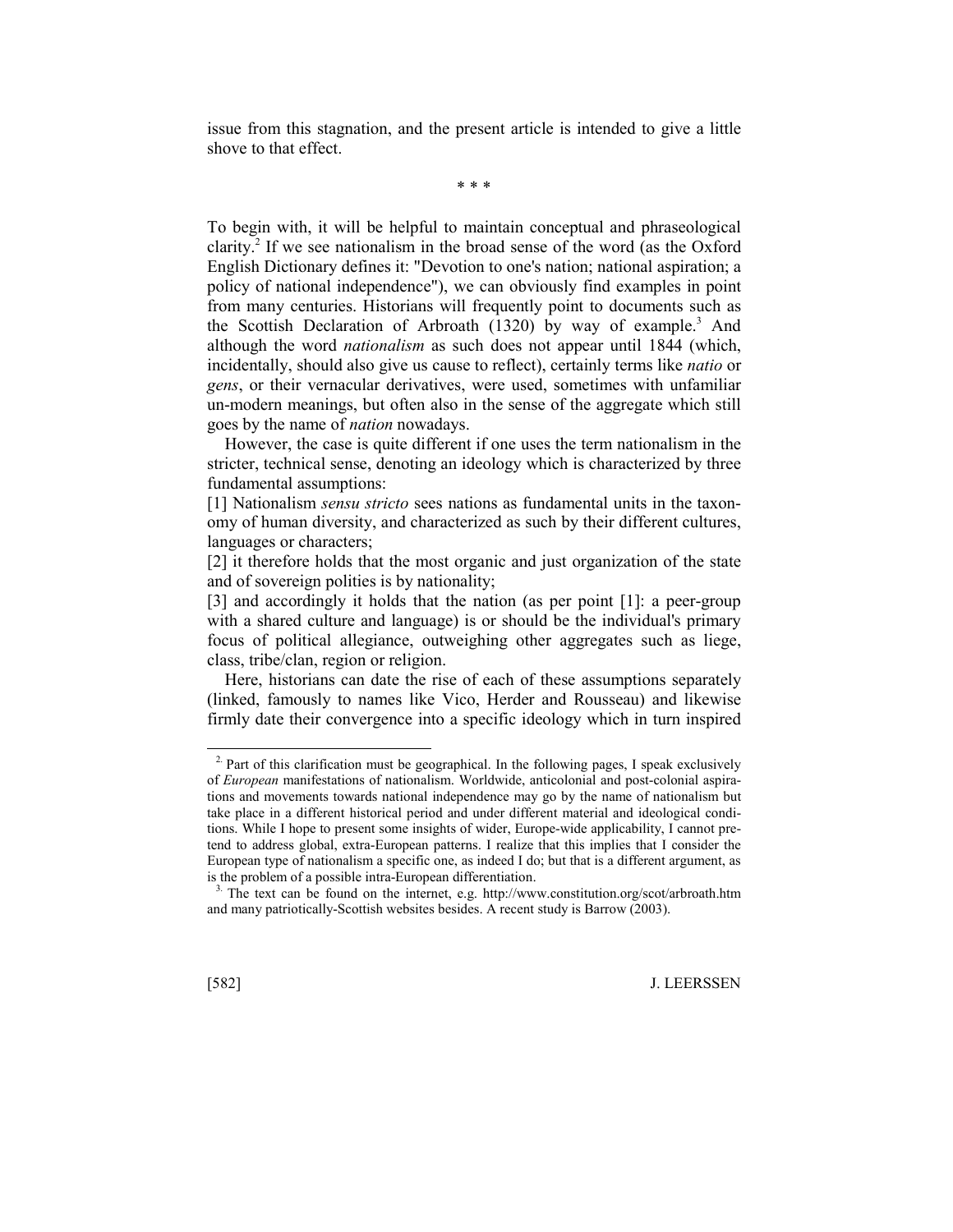issue from this stagnation, and the present article is intended to give a little shove to that effect.

\* \* \*

To begin with, it will be helpful to maintain conceptual and phraseological clarity.<sup>2</sup> If we see nationalism in the broad sense of the word (as the Oxford English Dictionary defines it: "Devotion to one's nation; national aspiration; a policy of national independence"), we can obviously find examples in point from many centuries. Historians will frequently point to documents such as the Scottish Declaration of Arbroath (1320) by way of example.<sup>3</sup> And although the word *nationalism* as such does not appear until 1844 (which, incidentally, should also give us cause to reflect), certainly terms like *natio* or *gens*, or their vernacular derivatives, were used, sometimes with unfamiliar un-modern meanings, but often also in the sense of the aggregate which still goes by the name of *nation* nowadays.

However, the case is quite different if one uses the term nationalism in the stricter, technical sense, denoting an ideology which is characterized by three fundamental assumptions:

[1] Nationalism *sensu stricto* sees nations as fundamental units in the taxonomy of human diversity, and characterized as such by their different cultures, languages or characters;

[2] it therefore holds that the most organic and just organization of the state and of sovereign polities is by nationality;

[3] and accordingly it holds that the nation (as per point [1]: a peer-group with a shared culture and language) is or should be the individual's primary focus of political allegiance, outweighing other aggregates such as liege, class, tribe/clan, region or religion.

Here, historians can date the rise of each of these assumptions separately (linked, famously to names like Vico, Herder and Rousseau) and likewise firmly date their convergence into a specific ideology which in turn inspired

 $2\text{ Part of this clarification must be geographical. In the following pages, I speak exclusively$ of *European* manifestations of nationalism. Worldwide, anticolonial and post-colonial aspirations and movements towards national independence may go by the name of nationalism but take place in a different historical period and under different material and ideological conditions. While I hope to present some insights of wider, Europe-wide applicability, I cannot pretend to address global, extra-European patterns. I realize that this implies that I consider the European type of nationalism a specific one, as indeed I do; but that is a different argument, as is the problem of a possible intra-European differentiation.

<sup>&</sup>lt;sup>3</sup>. The text can be found on the internet, e.g. http://www.constitution.org/scot/arbroath.htm and many patriotically-Scottish websites besides. A recent study is Barrow (2003).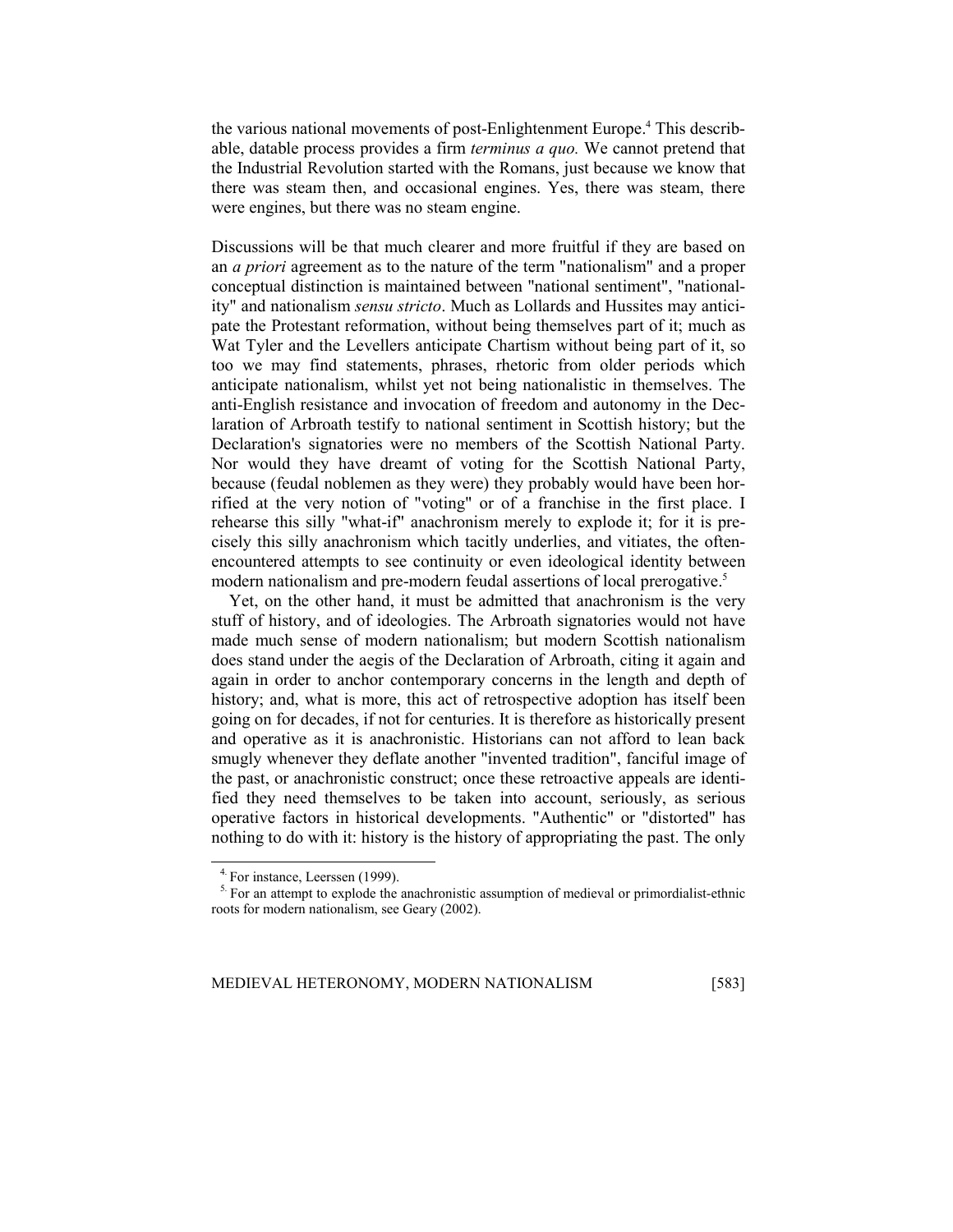the various national movements of post-Enlightenment Europe.<sup>4</sup> This describable, datable process provides a firm *terminus a quo.* We cannot pretend that the Industrial Revolution started with the Romans, just because we know that there was steam then, and occasional engines. Yes, there was steam, there were engines, but there was no steam engine.

Discussions will be that much clearer and more fruitful if they are based on an *a priori* agreement as to the nature of the term "nationalism" and a proper conceptual distinction is maintained between "national sentiment", "nationality" and nationalism *sensu stricto*. Much as Lollards and Hussites may anticipate the Protestant reformation, without being themselves part of it; much as Wat Tyler and the Levellers anticipate Chartism without being part of it, so too we may find statements, phrases, rhetoric from older periods which anticipate nationalism, whilst yet not being nationalistic in themselves. The anti-English resistance and invocation of freedom and autonomy in the Declaration of Arbroath testify to national sentiment in Scottish history; but the Declaration's signatories were no members of the Scottish National Party. Nor would they have dreamt of voting for the Scottish National Party, because (feudal noblemen as they were) they probably would have been horrified at the very notion of "voting" or of a franchise in the first place. I rehearse this silly "what-if" anachronism merely to explode it; for it is precisely this silly anachronism which tacitly underlies, and vitiates, the oftenencountered attempts to see continuity or even ideological identity between modern nationalism and pre-modern feudal assertions of local prerogative.<sup>5</sup>

Yet, on the other hand, it must be admitted that anachronism is the very stuff of history, and of ideologies. The Arbroath signatories would not have made much sense of modern nationalism; but modern Scottish nationalism does stand under the aegis of the Declaration of Arbroath, citing it again and again in order to anchor contemporary concerns in the length and depth of history; and, what is more, this act of retrospective adoption has itself been going on for decades, if not for centuries. It is therefore as historically present and operative as it is anachronistic. Historians can not afford to lean back smugly whenever they deflate another "invented tradition", fanciful image of the past, or anachronistic construct; once these retroactive appeals are identified they need themselves to be taken into account, seriously, as serious operative factors in historical developments. "Authentic" or "distorted" has nothing to do with it: history is the history of appropriating the past. The only

<sup>4.</sup> For instance, Leerssen (1999).

<sup>&</sup>lt;sup>5.</sup> For an attempt to explode the anachronistic assumption of medieval or primordialist-ethnic roots for modern nationalism, see Geary (2002).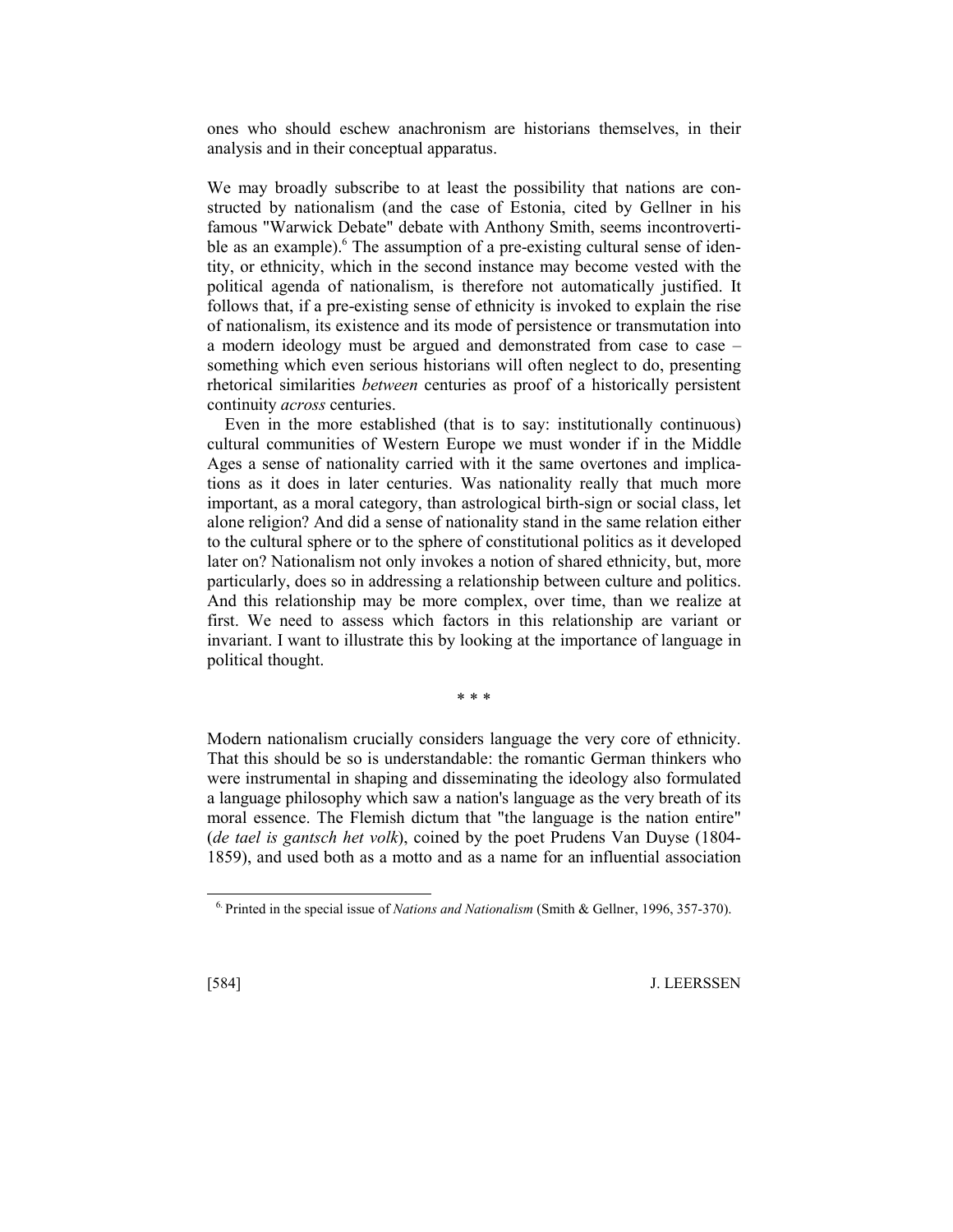ones who should eschew anachronism are historians themselves, in their analysis and in their conceptual apparatus.

We may broadly subscribe to at least the possibility that nations are constructed by nationalism (and the case of Estonia, cited by Gellner in his famous "Warwick Debate" debate with Anthony Smith, seems incontrovertible as an example). The assumption of a pre-existing cultural sense of identity, or ethnicity, which in the second instance may become vested with the political agenda of nationalism, is therefore not automatically justified. It follows that, if a pre-existing sense of ethnicity is invoked to explain the rise of nationalism, its existence and its mode of persistence or transmutation into a modern ideology must be argued and demonstrated from case to case – something which even serious historians will often neglect to do, presenting rhetorical similarities *between* centuries as proof of a historically persistent continuity *across* centuries.

Even in the more established (that is to say: institutionally continuous) cultural communities of Western Europe we must wonder if in the Middle Ages a sense of nationality carried with it the same overtones and implications as it does in later centuries. Was nationality really that much more important, as a moral category, than astrological birth-sign or social class, let alone religion? And did a sense of nationality stand in the same relation either to the cultural sphere or to the sphere of constitutional politics as it developed later on? Nationalism not only invokes a notion of shared ethnicity, but, more particularly, does so in addressing a relationship between culture and politics. And this relationship may be more complex, over time, than we realize at first. We need to assess which factors in this relationship are variant or invariant. I want to illustrate this by looking at the importance of language in political thought.

Modern nationalism crucially considers language the very core of ethnicity. That this should be so is understandable: the romantic German thinkers who were instrumental in shaping and disseminating the ideology also formulated a language philosophy which saw a nation's language as the very breath of its moral essence. The Flemish dictum that "the language is the nation entire" (*de tael is gantsch het volk*), coined by the poet Prudens Van Duyse (1804- 1859), and used both as a motto and as a name for an influential association

\* \* \*

l

<sup>6.</sup> Printed in the special issue of *Nations and Nationalism* (Smith & Gellner, 1996, 357-370).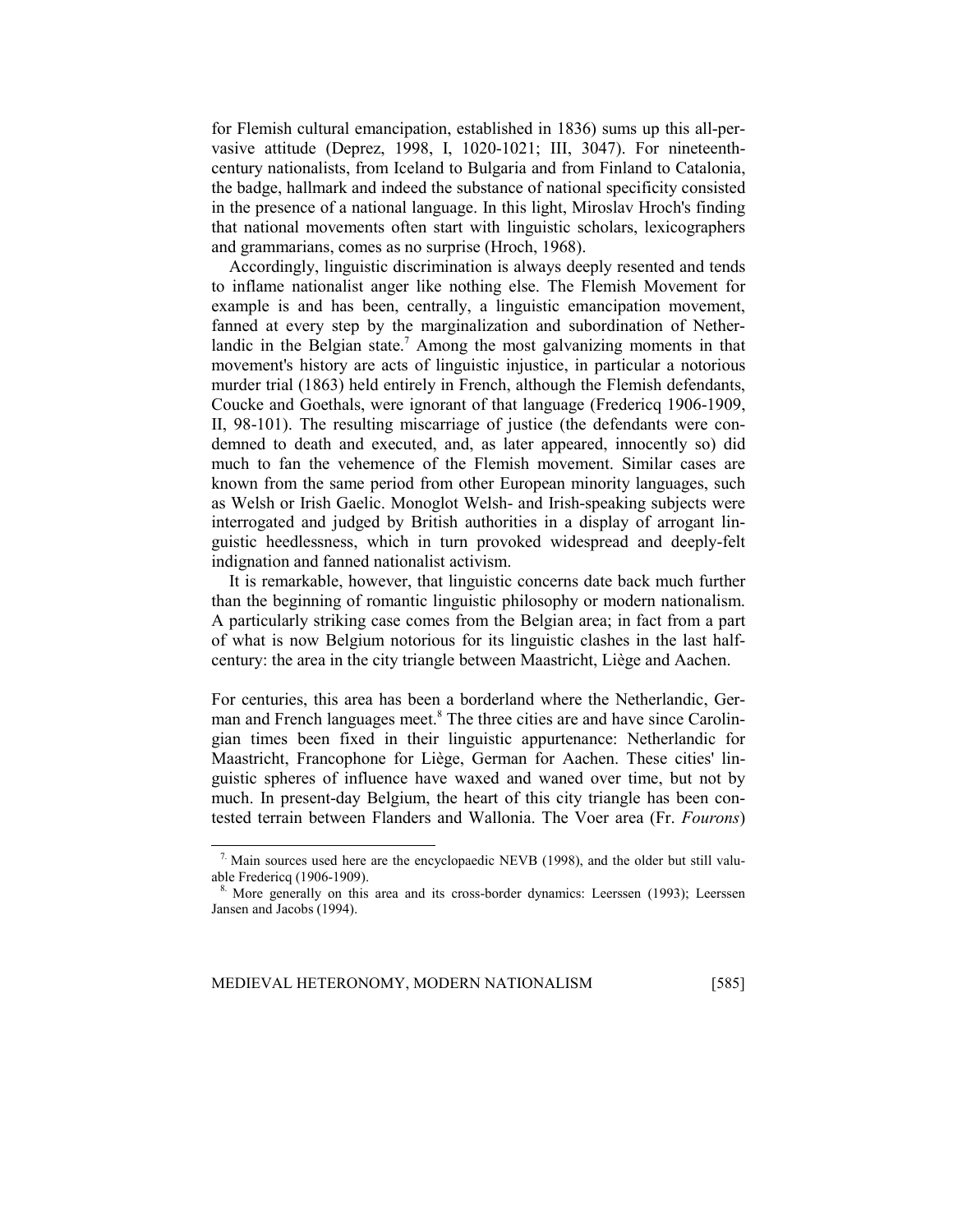for Flemish cultural emancipation, established in 1836) sums up this all-pervasive attitude (Deprez, 1998, I, 1020-1021; III, 3047). For nineteenthcentury nationalists, from Iceland to Bulgaria and from Finland to Catalonia, the badge, hallmark and indeed the substance of national specificity consisted in the presence of a national language. In this light, Miroslav Hroch's finding that national movements often start with linguistic scholars, lexicographers and grammarians, comes as no surprise (Hroch, 1968).

Accordingly, linguistic discrimination is always deeply resented and tends to inflame nationalist anger like nothing else. The Flemish Movement for example is and has been, centrally, a linguistic emancipation movement, fanned at every step by the marginalization and subordination of Netherlandic in the Belgian state.<sup>7</sup> Among the most galvanizing moments in that movement's history are acts of linguistic injustice, in particular a notorious murder trial (1863) held entirely in French, although the Flemish defendants, Coucke and Goethals, were ignorant of that language (Fredericq 1906-1909, II, 98-101). The resulting miscarriage of justice (the defendants were condemned to death and executed, and, as later appeared, innocently so) did much to fan the vehemence of the Flemish movement. Similar cases are known from the same period from other European minority languages, such as Welsh or Irish Gaelic. Monoglot Welsh- and Irish-speaking subjects were interrogated and judged by British authorities in a display of arrogant linguistic heedlessness, which in turn provoked widespread and deeply-felt indignation and fanned nationalist activism.

It is remarkable, however, that linguistic concerns date back much further than the beginning of romantic linguistic philosophy or modern nationalism. A particularly striking case comes from the Belgian area; in fact from a part of what is now Belgium notorious for its linguistic clashes in the last halfcentury: the area in the city triangle between Maastricht, Liège and Aachen.

For centuries, this area has been a borderland where the Netherlandic, German and French languages meet.<sup>8</sup> The three cities are and have since Carolingian times been fixed in their linguistic appurtenance: Netherlandic for Maastricht, Francophone for Liège, German for Aachen. These cities' linguistic spheres of influence have waxed and waned over time, but not by much. In present-day Belgium, the heart of this city triangle has been contested terrain between Flanders and Wallonia. The Voer area (Fr. *Fourons*)

1

 $7.$  Main sources used here are the encyclopaedic NEVB (1998), and the older but still valuable Fredericq (1906-1909).

<sup>8.</sup> More generally on this area and its cross-border dynamics: Leerssen (1993); Leerssen Jansen and Jacobs (1994).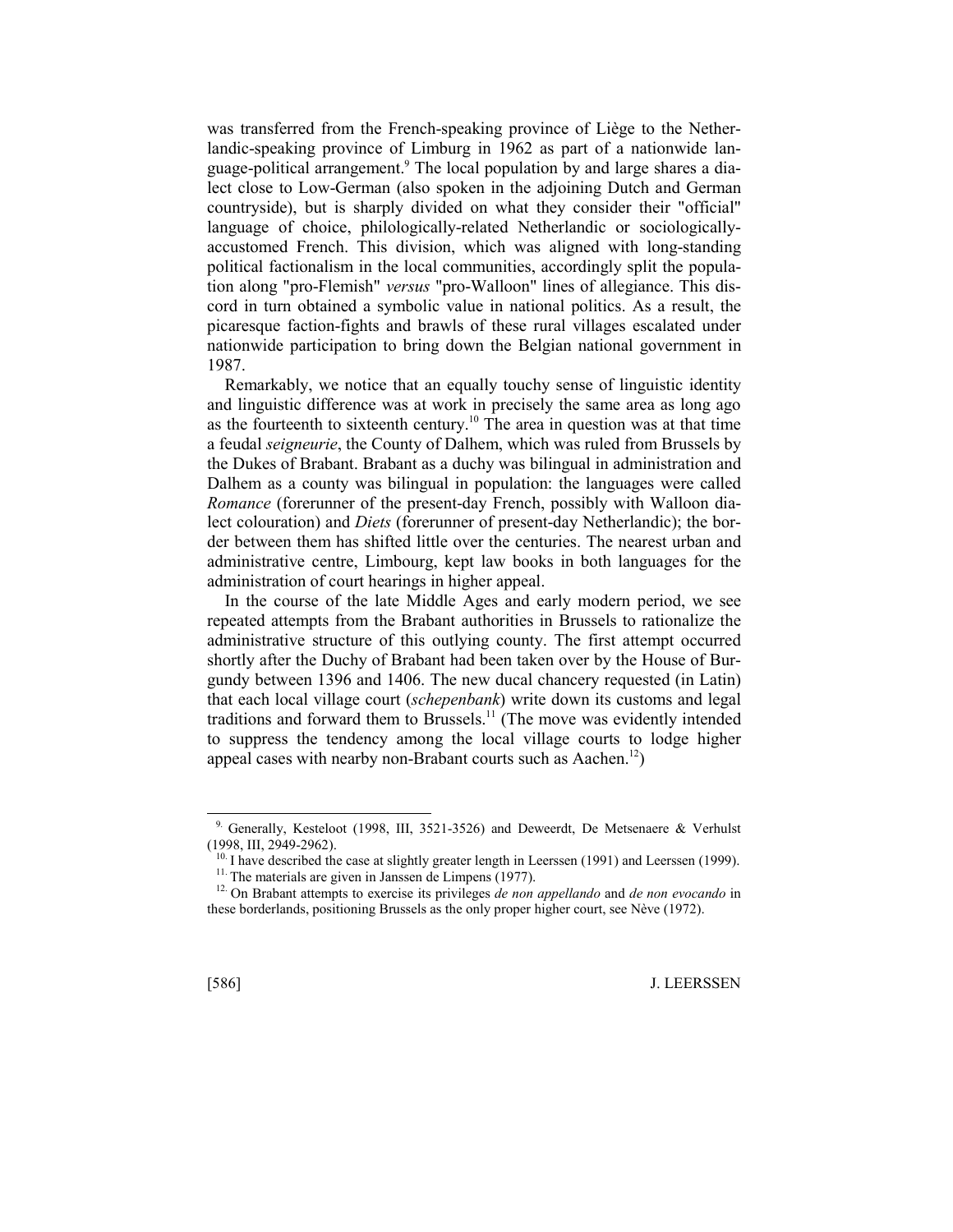was transferred from the French-speaking province of Liège to the Netherlandic-speaking province of Limburg in 1962 as part of a nationwide language-political arrangement.<sup>9</sup> The local population by and large shares a dialect close to Low-German (also spoken in the adjoining Dutch and German countryside), but is sharply divided on what they consider their "official" language of choice, philologically-related Netherlandic or sociologicallyaccustomed French. This division, which was aligned with long-standing political factionalism in the local communities, accordingly split the population along "pro-Flemish" *versus* "pro-Walloon" lines of allegiance. This discord in turn obtained a symbolic value in national politics. As a result, the picaresque faction-fights and brawls of these rural villages escalated under nationwide participation to bring down the Belgian national government in 1987.

Remarkably, we notice that an equally touchy sense of linguistic identity and linguistic difference was at work in precisely the same area as long ago as the fourteenth to sixteenth century.<sup>10</sup> The area in question was at that time a feudal *seigneurie*, the County of Dalhem, which was ruled from Brussels by the Dukes of Brabant. Brabant as a duchy was bilingual in administration and Dalhem as a county was bilingual in population: the languages were called *Romance* (forerunner of the present-day French, possibly with Walloon dialect colouration) and *Diets* (forerunner of present-day Netherlandic); the border between them has shifted little over the centuries. The nearest urban and administrative centre, Limbourg, kept law books in both languages for the administration of court hearings in higher appeal.

In the course of the late Middle Ages and early modern period, we see repeated attempts from the Brabant authorities in Brussels to rationalize the administrative structure of this outlying county. The first attempt occurred shortly after the Duchy of Brabant had been taken over by the House of Burgundy between 1396 and 1406. The new ducal chancery requested (in Latin) that each local village court (*schepenbank*) write down its customs and legal traditions and forward them to Brussels.<sup>11</sup> (The move was evidently intended to suppress the tendency among the local village courts to lodge higher appeal cases with nearby non-Brabant courts such as Aachen.<sup>12</sup>)

l

<sup>&</sup>lt;sup>9.</sup> Generally, Kesteloot (1998, III, 3521-3526) and Deweerdt, De Metsenaere & Verhulst (1998, III, 2949-2962).<br> $10^{10}$  I have described the case at slightly greater length in Leerssen (1991) and Leerssen (1999).

<sup>&</sup>lt;sup>11</sup>. The materials are given in Janssen de Limpens (1977).<br><sup>12</sup> On Brabant attempts to exercise its privileges *de non appellando* and *de non evocando* in these borderlands, positioning Brussels as the only proper higher court, see Nève (1972).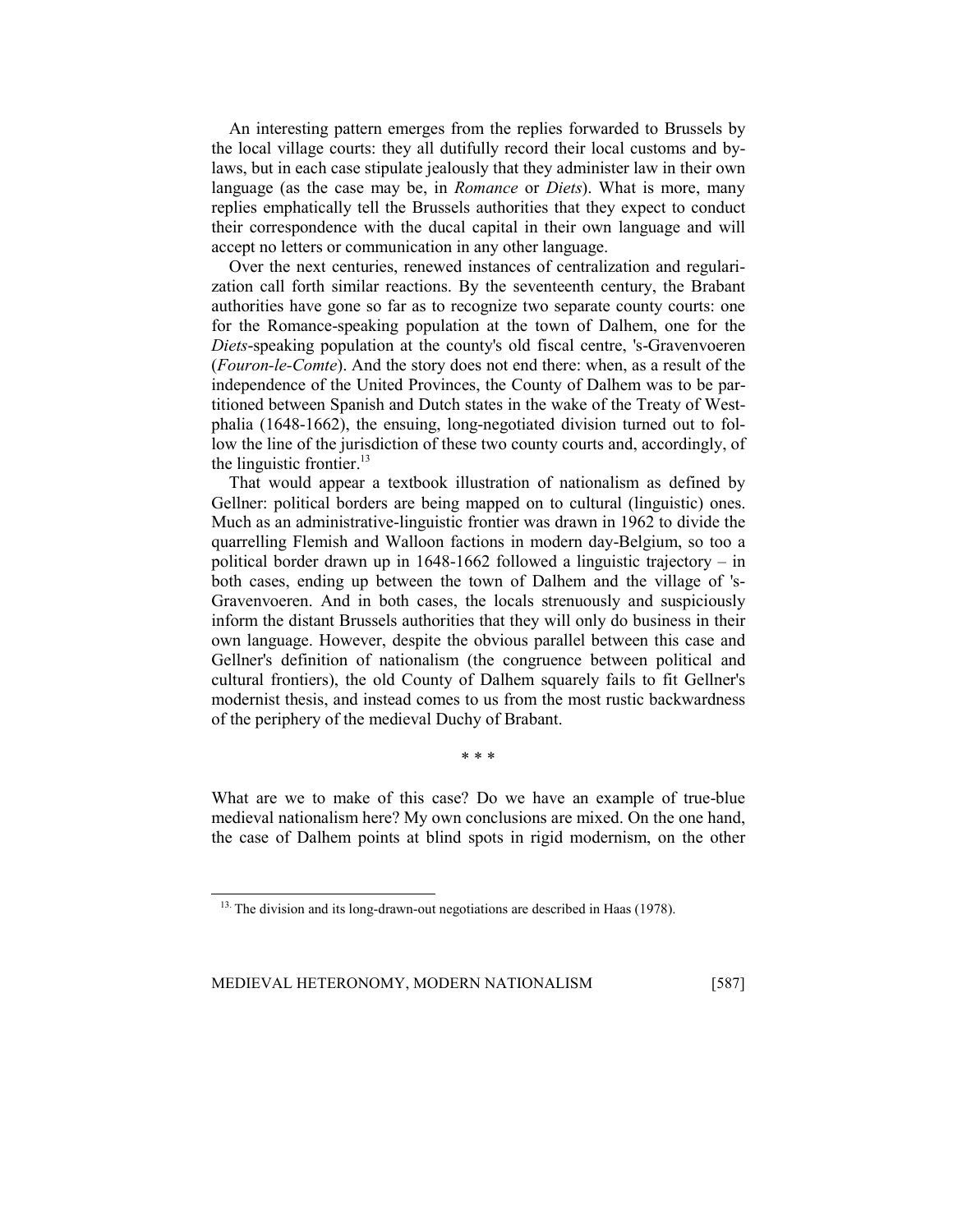An interesting pattern emerges from the replies forwarded to Brussels by the local village courts: they all dutifully record their local customs and bylaws, but in each case stipulate jealously that they administer law in their own language (as the case may be, in *Romance* or *Diets*). What is more, many replies emphatically tell the Brussels authorities that they expect to conduct their correspondence with the ducal capital in their own language and will accept no letters or communication in any other language.

Over the next centuries, renewed instances of centralization and regularization call forth similar reactions. By the seventeenth century, the Brabant authorities have gone so far as to recognize two separate county courts: one for the Romance-speaking population at the town of Dalhem, one for the *Diets*-speaking population at the county's old fiscal centre, 's-Gravenvoeren (*Fouron-le-Comte*). And the story does not end there: when, as a result of the independence of the United Provinces, the County of Dalhem was to be partitioned between Spanish and Dutch states in the wake of the Treaty of Westphalia (1648-1662), the ensuing, long-negotiated division turned out to follow the line of the jurisdiction of these two county courts and, accordingly, of the linguistic frontier. $13$ 

That would appear a textbook illustration of nationalism as defined by Gellner: political borders are being mapped on to cultural (linguistic) ones. Much as an administrative-linguistic frontier was drawn in 1962 to divide the quarrelling Flemish and Walloon factions in modern day-Belgium, so too a political border drawn up in 1648-1662 followed a linguistic trajectory – in both cases, ending up between the town of Dalhem and the village of 's-Gravenvoeren. And in both cases, the locals strenuously and suspiciously inform the distant Brussels authorities that they will only do business in their own language. However, despite the obvious parallel between this case and Gellner's definition of nationalism (the congruence between political and cultural frontiers), the old County of Dalhem squarely fails to fit Gellner's modernist thesis, and instead comes to us from the most rustic backwardness of the periphery of the medieval Duchy of Brabant.

\* \* \*

What are we to make of this case? Do we have an example of true-blue medieval nationalism here? My own conclusions are mixed. On the one hand, the case of Dalhem points at blind spots in rigid modernism, on the other

<sup>&</sup>lt;sup>13.</sup> The division and its long-drawn-out negotiations are described in Haas (1978).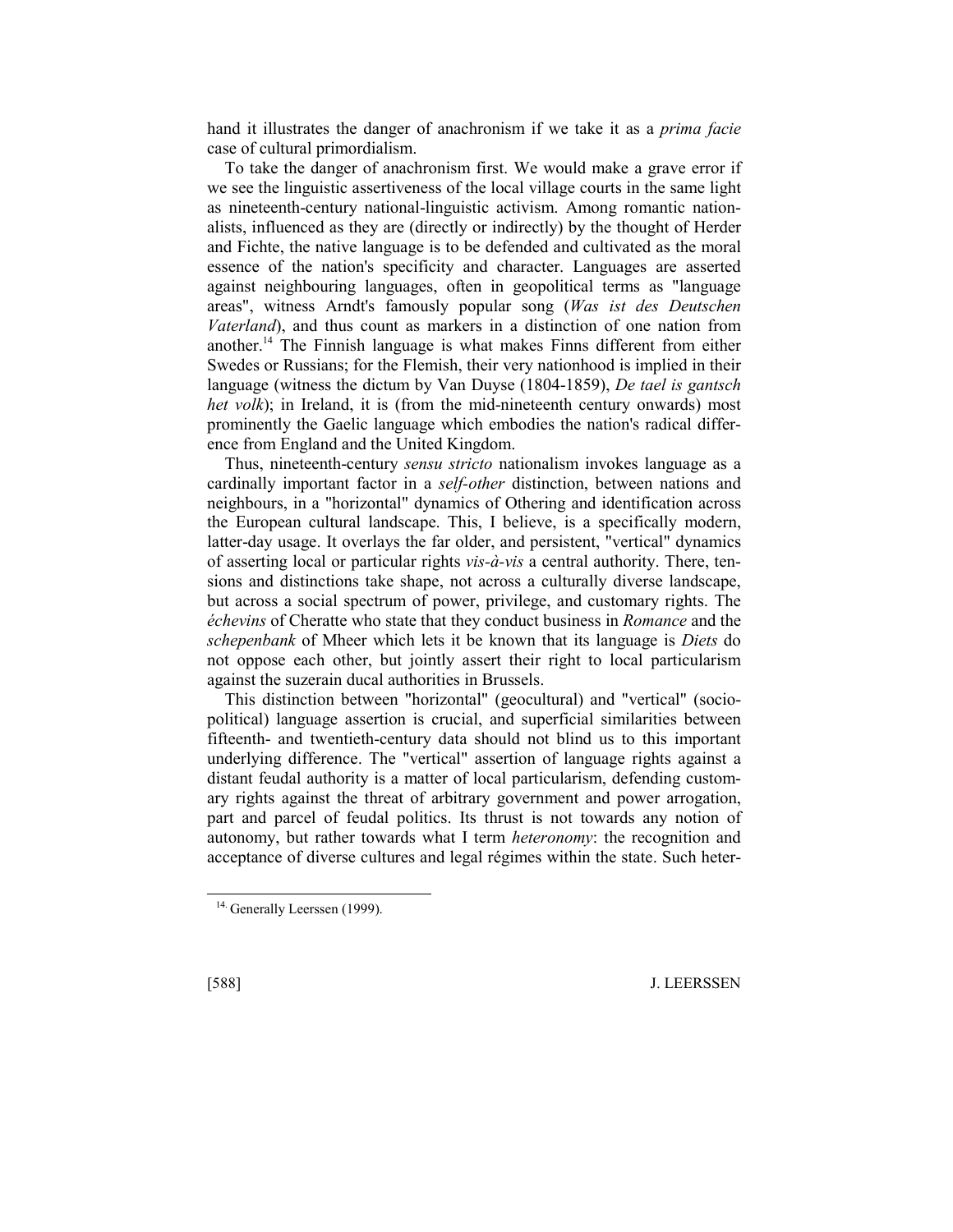hand it illustrates the danger of anachronism if we take it as a *prima facie*  case of cultural primordialism.

To take the danger of anachronism first. We would make a grave error if we see the linguistic assertiveness of the local village courts in the same light as nineteenth-century national-linguistic activism. Among romantic nationalists, influenced as they are (directly or indirectly) by the thought of Herder and Fichte, the native language is to be defended and cultivated as the moral essence of the nation's specificity and character. Languages are asserted against neighbouring languages, often in geopolitical terms as "language areas", witness Arndt's famously popular song (*Was ist des Deutschen Vaterland*), and thus count as markers in a distinction of one nation from another.14 The Finnish language is what makes Finns different from either Swedes or Russians; for the Flemish, their very nationhood is implied in their language (witness the dictum by Van Duyse (1804-1859), *De tael is gantsch het volk*); in Ireland, it is (from the mid-nineteenth century onwards) most prominently the Gaelic language which embodies the nation's radical difference from England and the United Kingdom.

Thus, nineteenth-century *sensu stricto* nationalism invokes language as a cardinally important factor in a *self-other* distinction, between nations and neighbours, in a "horizontal" dynamics of Othering and identification across the European cultural landscape. This, I believe, is a specifically modern, latter-day usage. It overlays the far older, and persistent, "vertical" dynamics of asserting local or particular rights *vis-à-vis* a central authority. There, tensions and distinctions take shape, not across a culturally diverse landscape, but across a social spectrum of power, privilege, and customary rights. The *échevins* of Cheratte who state that they conduct business in *Romance* and the *schepenbank* of Mheer which lets it be known that its language is *Diets* do not oppose each other, but jointly assert their right to local particularism against the suzerain ducal authorities in Brussels.

This distinction between "horizontal" (geocultural) and "vertical" (sociopolitical) language assertion is crucial, and superficial similarities between fifteenth- and twentieth-century data should not blind us to this important underlying difference. The "vertical" assertion of language rights against a distant feudal authority is a matter of local particularism, defending customary rights against the threat of arbitrary government and power arrogation, part and parcel of feudal politics. Its thrust is not towards any notion of autonomy, but rather towards what I term *heteronomy*: the recognition and acceptance of diverse cultures and legal régimes within the state. Such heter-

l

<sup>&</sup>lt;sup>14.</sup> Generally Leerssen (1999).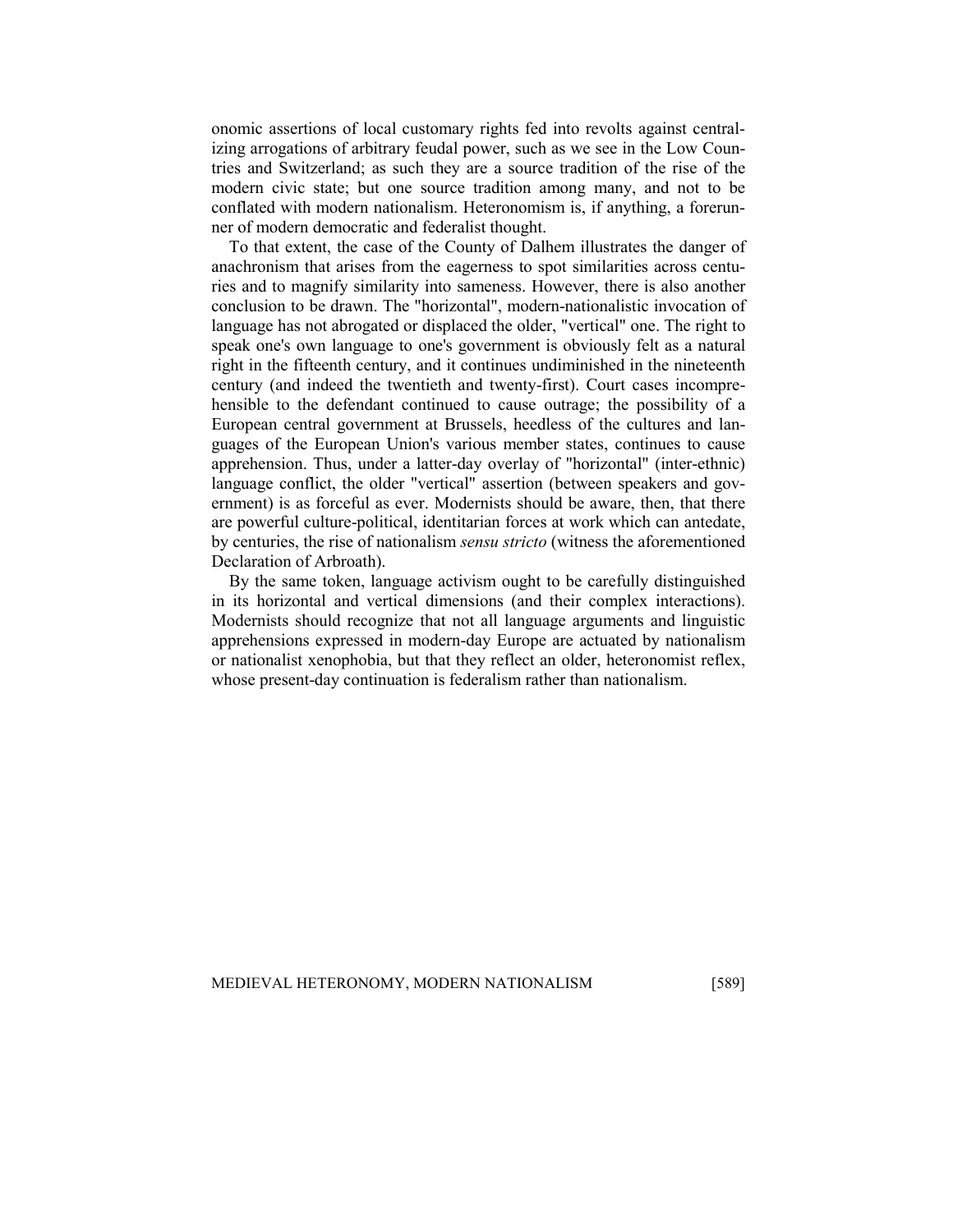onomic assertions of local customary rights fed into revolts against centralizing arrogations of arbitrary feudal power, such as we see in the Low Countries and Switzerland; as such they are a source tradition of the rise of the modern civic state; but one source tradition among many, and not to be conflated with modern nationalism. Heteronomism is, if anything, a forerunner of modern democratic and federalist thought.

To that extent, the case of the County of Dalhem illustrates the danger of anachronism that arises from the eagerness to spot similarities across centuries and to magnify similarity into sameness. However, there is also another conclusion to be drawn. The "horizontal", modern-nationalistic invocation of language has not abrogated or displaced the older, "vertical" one. The right to speak one's own language to one's government is obviously felt as a natural right in the fifteenth century, and it continues undiminished in the nineteenth century (and indeed the twentieth and twenty-first). Court cases incomprehensible to the defendant continued to cause outrage; the possibility of a European central government at Brussels, heedless of the cultures and languages of the European Union's various member states, continues to cause apprehension. Thus, under a latter-day overlay of "horizontal" (inter-ethnic) language conflict, the older "vertical" assertion (between speakers and government) is as forceful as ever. Modernists should be aware, then, that there are powerful culture-political, identitarian forces at work which can antedate, by centuries, the rise of nationalism *sensu stricto* (witness the aforementioned Declaration of Arbroath).

By the same token, language activism ought to be carefully distinguished in its horizontal and vertical dimensions (and their complex interactions). Modernists should recognize that not all language arguments and linguistic apprehensions expressed in modern-day Europe are actuated by nationalism or nationalist xenophobia, but that they reflect an older, heteronomist reflex, whose present-day continuation is federalism rather than nationalism.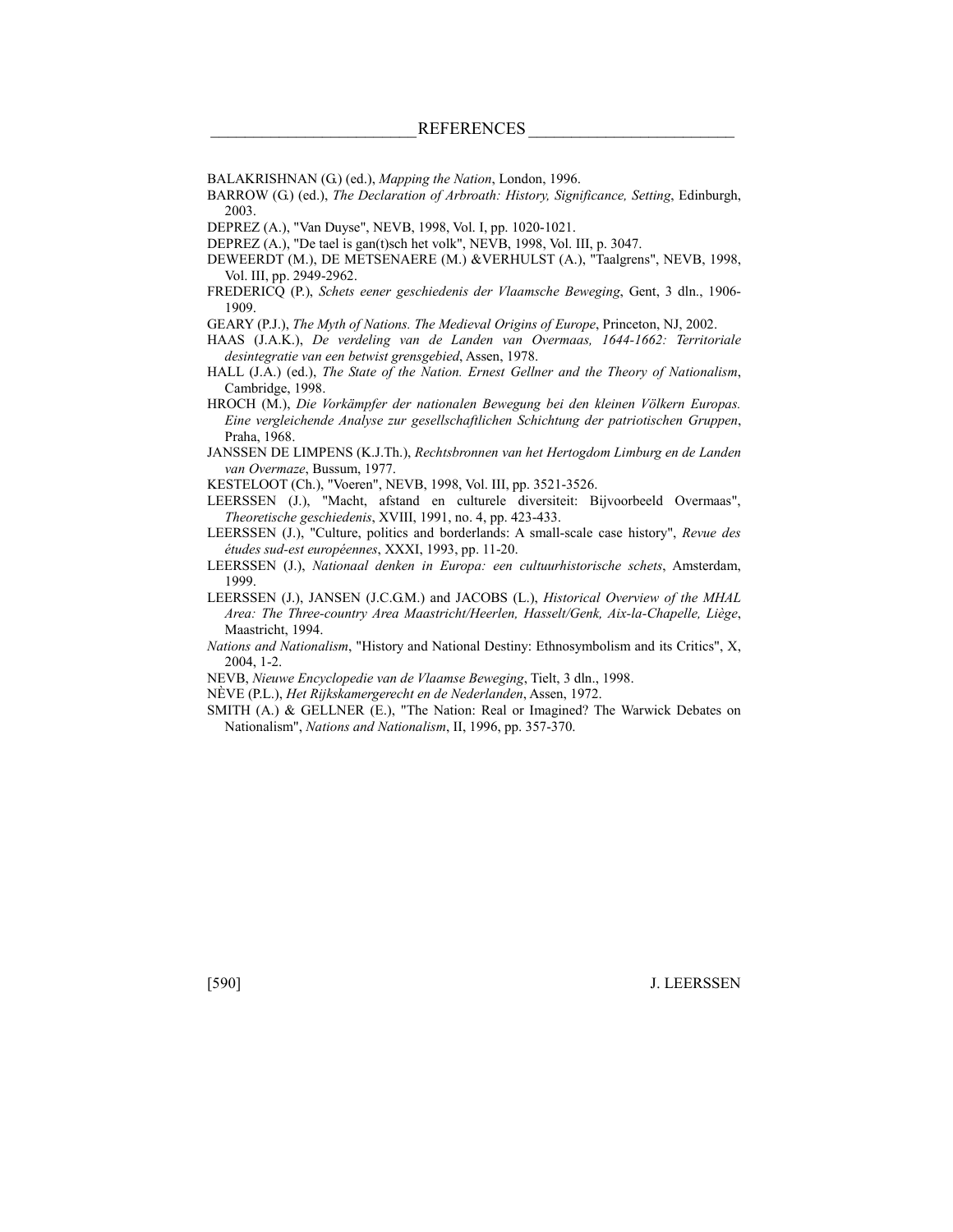- BALAKRISHNAN (G.) (ed.), *Mapping the Nation*, London, 1996.
- BARROW (G.) (ed.), *The Declaration of Arbroath: History, Significance, Setting*, Edinburgh, 2003.
- DEPREZ (A.), "Van Duyse", NEVB, 1998, Vol. I, pp. 1020-1021.
- DEPREZ (A.), "De tael is gan(t)sch het volk", NEVB, 1998, Vol. III, p. 3047.
- DEWEERDT (M.), DE METSENAERE (M.) &VERHULST (A.), "Taalgrens", NEVB, 1998, Vol. III, pp. 2949-2962.
- FREDERICQ (P.), *Schets eener geschiedenis der Vlaamsche Beweging*, Gent, 3 dln., 1906- 1909.
- GEARY (P.J.), *The Myth of Nations. The Medieval Origins of Europe*, Princeton, NJ, 2002.
- HAAS (J.A.K.), *De verdeling van de Landen van Overmaas, 1644-1662: Territoriale desintegratie van een betwist grensgebied*, Assen, 1978.
- HALL (J.A.) (ed.), *The State of the Nation. Ernest Gellner and the Theory of Nationalism*, Cambridge, 1998.
- HROCH (M.), *Die Vorkämpfer der nationalen Bewegung bei den kleinen Völkern Europas. Eine vergleichende Analyse zur gesellschaftlichen Schichtung der patriotischen Gruppen*, Praha, 1968.
- JANSSEN DE LIMPENS (K.J.Th.), *Rechtsbronnen van het Hertogdom Limburg en de Landen van Overmaze*, Bussum, 1977.
- KESTELOOT (Ch.), "Voeren", NEVB, 1998, Vol. III, pp. 3521-3526.
- LEERSSEN (J.), "Macht, afstand en culturele diversiteit: Bijvoorbeeld Overmaas", *Theoretische geschiedenis*, XVIII, 1991, no. 4, pp. 423-433.
- LEERSSEN (J.), "Culture, politics and borderlands: A small-scale case history", *Revue des études sud-est européennes*, XXXI, 1993, pp. 11-20.
- LEERSSEN (J.), *Nationaal denken in Europa: een cultuurhistorische schets*, Amsterdam, 1999.
- LEERSSEN (J.), JANSEN (J.C.G.M.) and JACOBS (L.), *Historical Overview of the MHAL Area: The Three-country Area Maastricht/Heerlen, Hasselt/Genk, Aix-la-Chapelle, Liège*, Maastricht, 1994.
- *Nations and Nationalism*, "History and National Destiny: Ethnosymbolism and its Critics", X, 2004, 1-2.
- NEVB, *Nieuwe Encyclopedie van de Vlaamse Beweging*, Tielt, 3 dln., 1998.
- NÈVE (P.L.), *Het Rijkskamergerecht en de Nederlanden*, Assen, 1972.
- SMITH (A.) & GELLNER (E.), "The Nation: Real or Imagined? The Warwick Debates on Nationalism", *Nations and Nationalism*, II, 1996, pp. 357-370.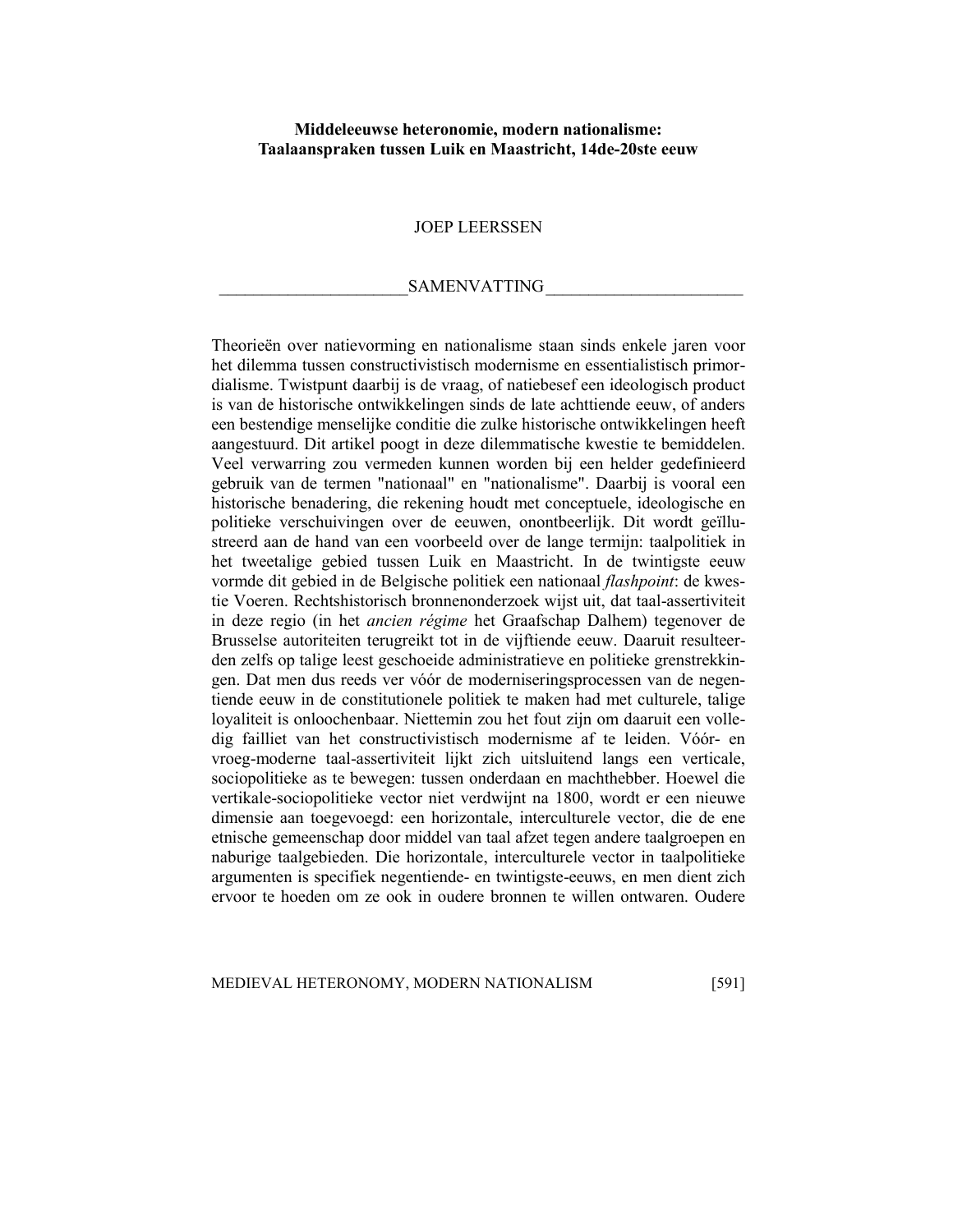### **Middeleeuwse heteronomie, modern nationalisme: Taalaanspraken tussen Luik en Maastricht, 14de-20ste eeuw**

#### JOEP LEERSSEN

#### SAMENVATTING

Theorieën over natievorming en nationalisme staan sinds enkele jaren voor het dilemma tussen constructivistisch modernisme en essentialistisch primordialisme. Twistpunt daarbij is de vraag, of natiebesef een ideologisch product is van de historische ontwikkelingen sinds de late achttiende eeuw, of anders een bestendige menselijke conditie die zulke historische ontwikkelingen heeft aangestuurd. Dit artikel poogt in deze dilemmatische kwestie te bemiddelen. Veel verwarring zou vermeden kunnen worden bij een helder gedefinieerd gebruik van de termen "nationaal" en "nationalisme". Daarbij is vooral een historische benadering, die rekening houdt met conceptuele, ideologische en politieke verschuivingen over de eeuwen, onontbeerlijk. Dit wordt geïllustreerd aan de hand van een voorbeeld over de lange termijn: taalpolitiek in het tweetalige gebied tussen Luik en Maastricht. In de twintigste eeuw vormde dit gebied in de Belgische politiek een nationaal *flashpoint*: de kwestie Voeren. Rechtshistorisch bronnenonderzoek wijst uit, dat taal-assertiviteit in deze regio (in het *ancien régime* het Graafschap Dalhem) tegenover de Brusselse autoriteiten terugreikt tot in de vijftiende eeuw. Daaruit resulteerden zelfs op talige leest geschoeide administratieve en politieke grenstrekkingen. Dat men dus reeds ver vóór de moderniseringsprocessen van de negentiende eeuw in de constitutionele politiek te maken had met culturele, talige loyaliteit is onloochenbaar. Niettemin zou het fout zijn om daaruit een volledig failliet van het constructivistisch modernisme af te leiden. Vóór- en vroeg-moderne taal-assertiviteit lijkt zich uitsluitend langs een verticale, sociopolitieke as te bewegen: tussen onderdaan en machthebber. Hoewel die vertikale-sociopolitieke vector niet verdwijnt na 1800, wordt er een nieuwe dimensie aan toegevoegd: een horizontale, interculturele vector, die de ene etnische gemeenschap door middel van taal afzet tegen andere taalgroepen en naburige taalgebieden. Die horizontale, interculturele vector in taalpolitieke argumenten is specifiek negentiende- en twintigste-eeuws, en men dient zich ervoor te hoeden om ze ook in oudere bronnen te willen ontwaren. Oudere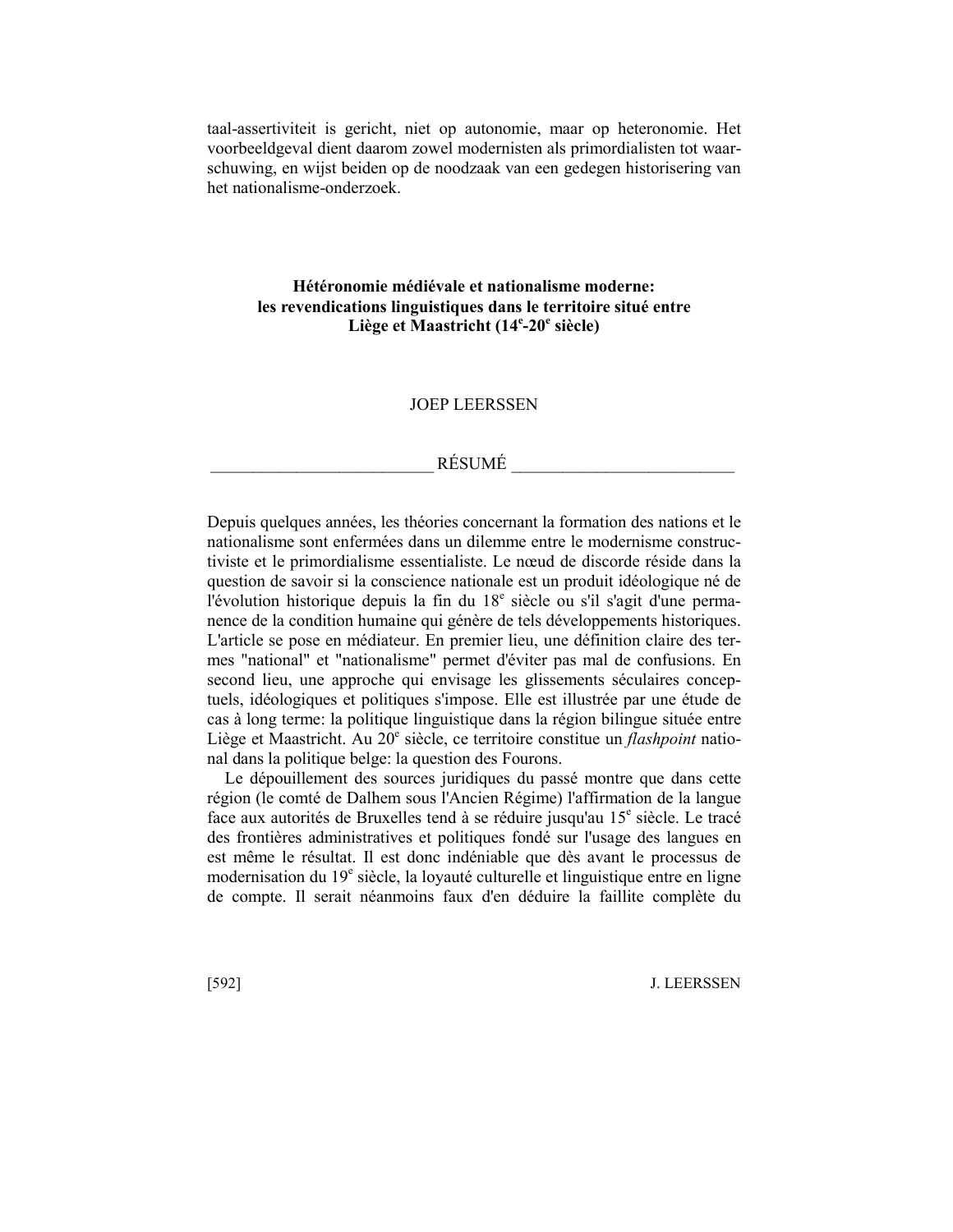taal-assertiviteit is gericht, niet op autonomie, maar op heteronomie. Het voorbeeldgeval dient daarom zowel modernisten als primordialisten tot waarschuwing, en wijst beiden op de noodzaak van een gedegen historisering van het nationalisme-onderzoek.

## **Hétéronomie médiévale et nationalisme moderne: les revendications linguistiques dans le territoire situé entre**  Liège et Maastricht (14<sup>e</sup>-20<sup>e</sup> siècle)

## JOEP LEERSSEN

## $R$ ÉSUMÉ

Depuis quelques années, les théories concernant la formation des nations et le nationalisme sont enfermées dans un dilemme entre le modernisme constructiviste et le primordialisme essentialiste. Le nœud de discorde réside dans la question de savoir si la conscience nationale est un produit idéologique né de l'évolution historique depuis la fin du 18<sup>e</sup> siècle ou s'il s'agit d'une permanence de la condition humaine qui génère de tels développements historiques. L'article se pose en médiateur. En premier lieu, une définition claire des termes "national" et "nationalisme" permet d'éviter pas mal de confusions. En second lieu, une approche qui envisage les glissements séculaires conceptuels, idéologiques et politiques s'impose. Elle est illustrée par une étude de cas à long terme: la politique linguistique dans la région bilingue située entre Liège et Maastricht. Au 20<sup>e</sup> siècle, ce territoire constitue un *flashpoint* national dans la politique belge: la question des Fourons.

Le dépouillement des sources juridiques du passé montre que dans cette région (le comté de Dalhem sous l'Ancien Régime) l'affirmation de la langue face aux autorités de Bruxelles tend à se réduire jusqu'au 15<sup>e</sup> siècle. Le tracé des frontières administratives et politiques fondé sur l'usage des langues en est même le résultat. Il est donc indéniable que dès avant le processus de modernisation du 19<sup>e</sup> siècle, la loyauté culturelle et linguistique entre en ligne de compte. Il serait néanmoins faux d'en déduire la faillite complète du